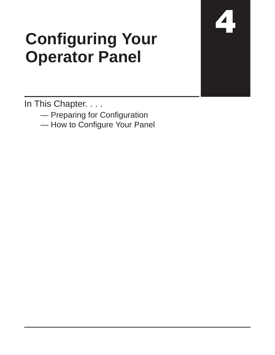## **Configuring Your Operator Panel**

In This Chapter. . . .

- Preparing for Configuration
- How to Configure Your Panel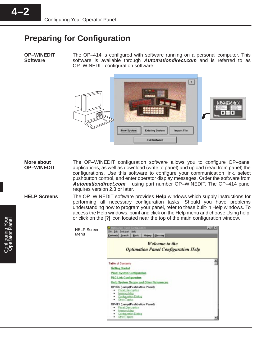## **Preparing for Configuration**

Menu

**OP–WINEDIT Software**

The OP–414 is configured with software running on a personal computer. This software is available through **Automationdirect.com** and is referred to as OP–WINEDIT configuration software.



The OP–WINEDIT configuration software allows you to configure OP–panel applications, as well as download (write to panel) and upload (read from panel) the configurations. Use this software to configure your communication link, select pushbutton control, and enter operator display messages. Order the software from **Automationdirect.com** using part number OP–WINEDIT. The OP–414 panel requires version 2.3 or later. **More about OP–WINEDIT**

The OP–WINEDIT software provides **Help** windows which supply instructions for performing all necessary configuration tasks. Should you have problems understanding how to program your panel, refer to these built-in Help windows. To access the Help windows, point and click on the Help menu and choose Using help, or click on the [?] icon located near the top of the main configuration window. **HELP Screens**

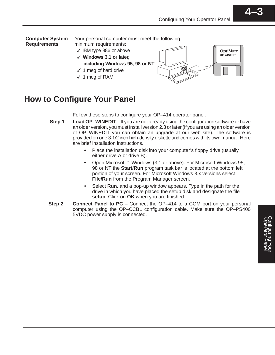

## **How to Configure Your Panel**

Follow these steps to configure your OP–414 operator panel.

- **Load OP–WINEDIT**  If you are not already using the configuration software or have an older version, you must install version 2.3 or later (if you are using an older version of OP–WINEDIT you can obtain an upgrade at our web site). The software is provided on one 3-1/2 inch high-density diskette and comes with its own manual. Here are brief installation instructions. **Step 1**
	- Place the installation disk into your computer's floppy drive (usually either drive A or drive B).
	- Open Microsoft<sup>™</sup> Windows (3.1 or above). For Microsoft Windows 95, 98 or NT the **Start/Run** program task bar is located at the bottom left portion of your screen. For Microsoft Windows 3.x versions select **File/Run** from the Program Manager screen.
	- Select **Run**, and a pop-up window appears. Type in the path for the drive in which you have placed the setup disk and designate the file **setup**. Click on **OK** when you are finished.
- **Connect Panel to PC** Connect the OP–414 to a COM port on your personal computer using the OP–CCBL configuration cable. Make sure the OP–PS400 5VDC power supply is connected. **Step 2**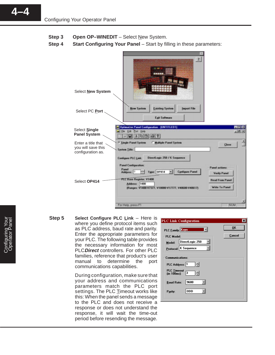- **Open OP-WINEDIT** Select New System. **Step 3**
- **Start Configuring Your Panel Start by filling in these parameters: Step 4**



**Select Configure PLC Link** – Here is where you define protocol items such as PLC address, baud rate and parity. Enter the appropriate parameters for your PLC. The following table provides the necessary information for most PLC**Direct** controllers. For other PLC families, reference that product's user manual to determine the port communications capabilities. **Step 5**

> During configuration, make sure that your address and communications parameters match the PLC port settings. The PLC Timeout works like this: When the panel sends a message to the PLC and does not receive a response or does not understand the response, it will wait the time-out period before resending the message.



**4–4**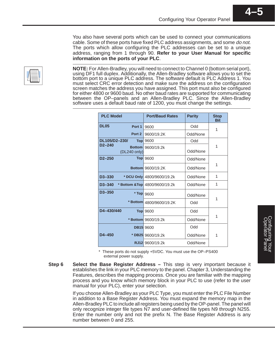You also have several ports which can be used to connect your communications cable. Some of these ports have fixed PLC address assignments, and some do not. The ports which allow configuring the PLC addresses can be set to a unique address, ranging from 1 through 90. **Refer to your User Manual for specific information on the ports of your PLC**.

**NOTE:** For Allen-Bradley, you will need to connect to Channel 0 (bottom serial port), using DF1 full duplex. Additionally, the Allen-Bradley software allows you to set the bottom port to a unique PLC address. The software default is PLC Address 1. You must select CRC error detection and make sure the address on the configuration screen matches the address you have assigned. This port must also be configured for either 4800 or 9600 baud. No other baud rates are supported for communicating between the OP–panels and an Allen-Bradley PLC. Since the Allen-Bradley software uses a default baud rate of 1200, you must change the settings.

| <b>PLC Model</b>                            | <b>Port/Baud Rates</b>         | <b>Parity</b> | <b>Stop</b><br><b>Bit</b> |
|---------------------------------------------|--------------------------------|---------------|---------------------------|
| <b>DL05</b><br>Port 1                       | 9600                           | Odd           | 1                         |
| Port <sub>2</sub>                           | 9600/19.2K                     | Odd/None      |                           |
| DL105/D2-230/<br><b>Top</b>                 | 9600                           | Odd           |                           |
| $D2 - 240$<br><b>Bottom</b><br>(DL240 only) | 9600/19.2k                     | Odd/None      | 1                         |
| $D2 - 250$                                  | <b>Top</b> 9600                | Odd/None      |                           |
|                                             | <b>Bottom</b> 9600/19.2K       | Odd/None      | 1                         |
| D3-330                                      | * DCU Only 4800/9600/19.2k     | Odd/None      | 1                         |
| $D3 - 340$                                  | * Bottom & Top 4800/9600/19.2k | Odd/None      | 1                         |
| $D3 - 350$<br>* Top                         | 9600                           | Odd/None      | 1                         |
|                                             | * Bottom 4800/9600/19.2K       | Odd           |                           |
| D4-430/440                                  | <b>Top</b> 9600                | Odd           |                           |
|                                             | * Bottom 9600/19.2k            | Odd/None      | 1                         |
|                                             | <b>DB15</b> 9600               | Odd           |                           |
| $D4 - 450$                                  | * DB25 9600/19.2k              | Odd/None      | 1                         |
|                                             | RJ12 9600/19.2k                | Odd/None      |                           |

\* These ports do not supply +5VDC. You must use the OP–PS400 external power supply.

**Select the Base Register Address –** This step is very important because it establishes the link in your PLC memory to the panel. Chapter 3, Understanding the Features, describes the mapping process. Once you are familiar with the mapping process and you know which memory block in your PLC to use (refer to the user manual for your PLC), enter your selection. **Step 6**

> If you choose Allen-Bradley as your PLC Type, you must enter the PLC File Number in addition to a Base Register Address. You must expand the memory map in the Allen-Bradley PLC to include all registers being used by the OP-panel. The panel will only recognize integer file types N7 and user-defined file types N9 through N255. Enter the number only and not the prefix N. The Base Register Address is any number between 0 and 255.